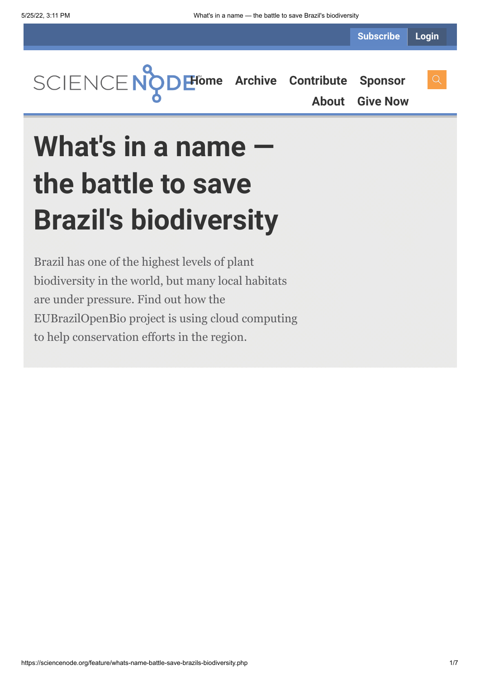**Subscribe Login**



**[About](https://sciencenode.org/about/index.php) [Give Now](https://sciencenode.org/donate/index.php)**

# What's in a name · **the battle to save Brazil's biodiversity**

Brazil has one of the highest levels of plant biodiversity in the world, but many local habitats are under pressure. Find out how the EUBrazilOpenBio project is using cloud computing to help conservation efforts in the region.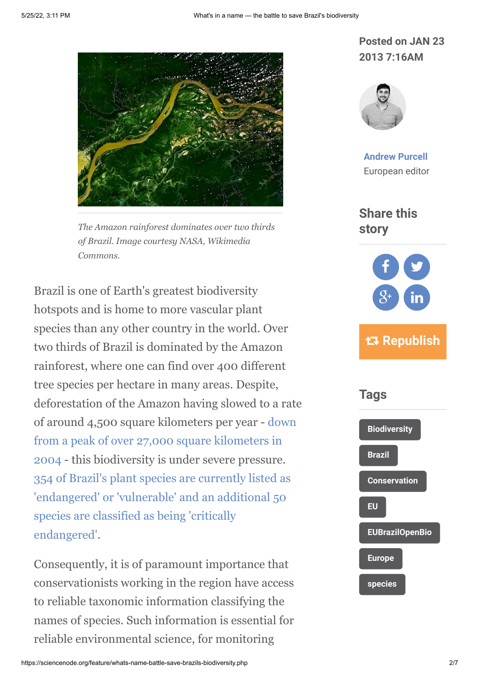

*The Amazon rainforest dominates over two thirds of Brazil. Image courtesy NASA, Wikimedia Commons.*

Brazil is one of Earth's greatest biodiversity hotspots and is home to more vascular plant species than any other country in the world. Over two thirds of Brazil is dominated by the Amazon rainforest, where one can find over 400 different tree species per hectare in many areas. Despite, deforestation of the Amazon having slowed to a rate [of around 4,500 square kilometers per year - down](http://www.obt.inpe.br/prodes/index.php) from a peak of over 27,000 square kilometers in 2004 - this biodiversity is under severe pressure. [354 of Brazil's plant species are currently listed as](http://www.iucnredlist.org/documents/summarystatistics/2012_2_RL_Stats_Table_6b.pdf) 'endangered' or 'vulnerable' and an additional 50 species are classified as being 'critically endangered'.

Consequently, it is of paramount importance that conservationists working in the region have access to reliable taxonomic information classifying the names of species. Such information is essential for reliable environmental science, for monitoring

### **Posted on JAN 23 2013 7:16AM**



**[Andrew Purcell](https://sciencenode.org/author/andrew-purcell.php)** European editor

**Share this story**



# **Republish**

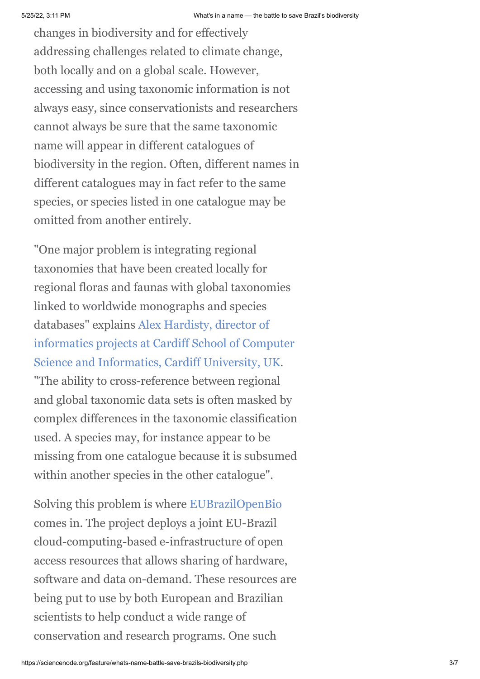changes in biodiversity and for effectively addressing challenges related to climate change, both locally and on a global scale. However, accessing and using taxonomic information is not always easy, since conservationists and researchers cannot always be sure that the same taxonomic name will appear in different catalogues of biodiversity in the region. Often, different names in different catalogues may in fact refer to the same species, or species listed in one catalogue may be omitted from another entirely.

"One major problem is integrating regional taxonomies that have been created locally for regional floras and faunas with global taxonomies linked to worldwide monographs and species databases" explains Alex Hardisty, director of [informatics projects at Cardiff School of Computer](http://www.cs.cf.ac.uk/contactsandpeople/staffpage.php?emailname=alex.hardisty) Science and Informatics, Cardiff University, UK. "The ability to cross-reference between regional and global taxonomic data sets is often masked by complex differences in the taxonomic classification used. A species may, for instance appear to be missing from one catalogue because it is subsumed within another species in the other catalogue".

Solving this problem is where [EUBrazilOpenBio](http://www.eubrazilopenbio.eu/Pages/Home.aspx) comes in. The project deploys a joint EU-Brazil cloud-computing-based e-infrastructure of open access resources that allows sharing of hardware, software and data on-demand. These resources are being put to use by both European and Brazilian scientists to help conduct a wide range of conservation and research programs. One such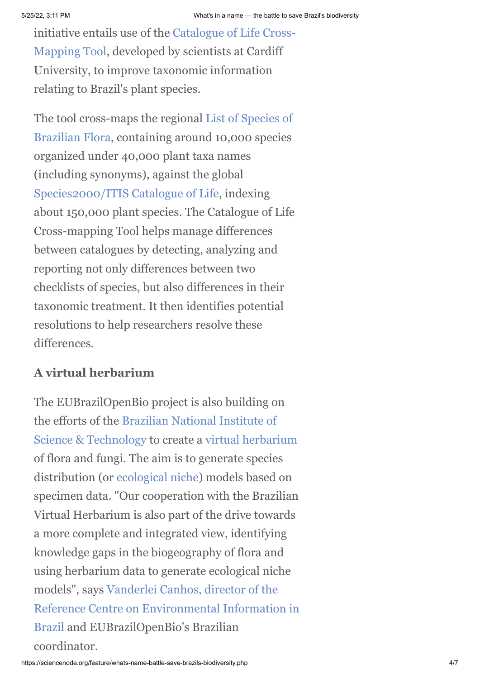[initiative entails use of the Catalogue of Life Cross-](http://www.i4life.eu/crossmapping.php)Mapping Tool, developed by scientists at Cardiff University, to improve taxonomic information relating to Brazil's plant species.

[The tool cross-maps the regional List of Species of](http://floradobrasil.jbrj.gov.br/2010/) Brazilian Flora, containing around 10,000 species organized under 40,000 plant taxa names (including synonyms), against the global [Species2000/ITIS Catalogue of Life,](http://www.catalogueoflife.org/) indexing about 150,000 plant species. The Catalogue of Life Cross-mapping Tool helps manage differences between catalogues by detecting, analyzing and reporting not only differences between two checklists of species, but also differences in their taxonomic treatment. It then identifies potential resolutions to help researchers resolve these differences.

## **A virtual herbarium**

The EUBrazilOpenBio project is also building on [the efforts of the Brazilian National Institute of](http://www.brasil.gov.br/sobre/science-and-technology/research-units/national-institute-of-technology-int) Science & Technology to create a [virtual herbarium](http://inct.florabrasil.net/en/) of flora and fungi. The aim is to generate species distribution (or [ecological niche](http://en.wikipedia.org/wiki/Ecological_niche)) models based on specimen data. "Our cooperation with the Brazilian Virtual Herbarium is also part of the drive towards a more complete and integrated view, identifying knowledge gaps in the biogeography of flora and using herbarium data to generate ecological niche models", says Vanderlei Canhos, director of the [Reference Centre on Environmental Information in](http://www.cria.org.br/eventos/iaed/vcanhos_bio.html) Brazil and EUBrazilOpenBio's Brazilian coordinator.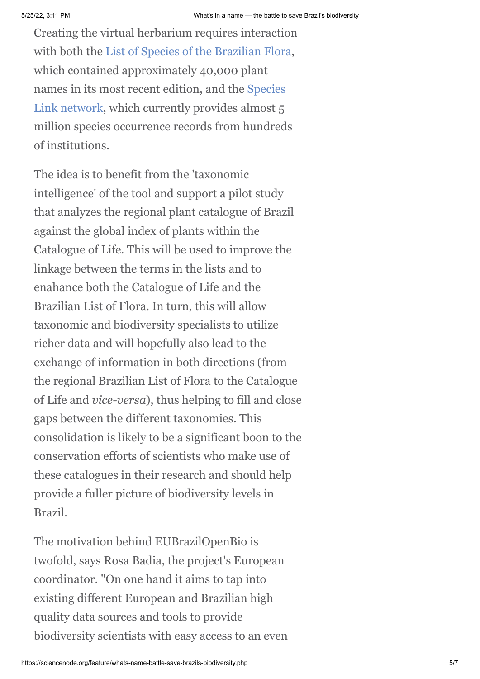Creating the virtual herbarium requires interaction with both the [List of Species of the Brazilian Flora](http://floradobrasil.jbrj.gov.br/2012/), which contained approximately 40,000 plant [names in its most recent edition, and the Species](http://splink.cria.org.br/index?&setlang=en) Link network, which currently provides almost 5 million species occurrence records from hundreds of institutions.

The idea is to benefit from the 'taxonomic intelligence' of the tool and support a pilot study that analyzes the regional plant catalogue of Brazil against the global index of plants within the Catalogue of Life. This will be used to improve the linkage between the terms in the lists and to enahance both the Catalogue of Life and the Brazilian List of Flora. In turn, this will allow taxonomic and biodiversity specialists to utilize richer data and will hopefully also lead to the exchange of information in both directions (from the regional Brazilian List of Flora to the Catalogue of Life and *vice-versa*), thus helping to fill and close gaps between the different taxonomies. This consolidation is likely to be a significant boon to the conservation efforts of scientists who make use of these catalogues in their research and should help provide a fuller picture of biodiversity levels in Brazil.

The motivation behind EUBrazilOpenBio is twofold, says Rosa Badia, the project's European coordinator. "On one hand it aims to tap into existing different European and Brazilian high quality data sources and tools to provide biodiversity scientists with easy access to an even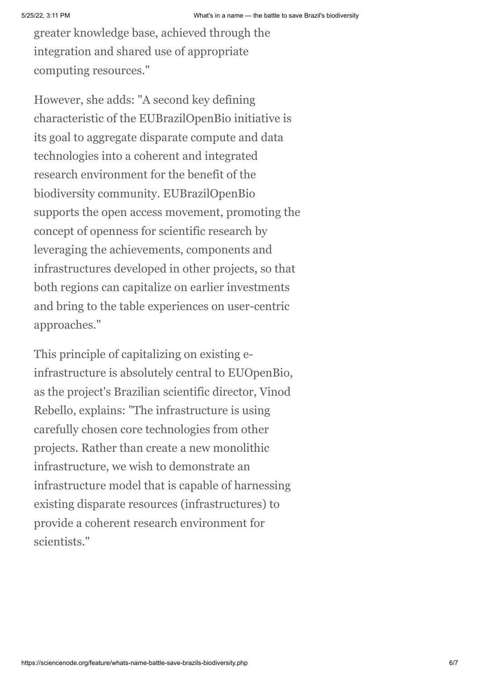greater knowledge base, achieved through the integration and shared use of appropriate computing resources."

However, she adds: "A second key defining characteristic of the EUBrazilOpenBio initiative is its goal to aggregate disparate compute and data technologies into a coherent and integrated research environment for the benefit of the biodiversity community. EUBrazilOpenBio supports the open access movement, promoting the concept of openness for scientific research by leveraging the achievements, components and infrastructures developed in other projects, so that both regions can capitalize on earlier investments and bring to the table experiences on user-centric approaches."

This principle of capitalizing on existing einfrastructure is absolutely central to EUOpenBio, as the project's Brazilian scientific director, Vinod Rebello, explains: "The infrastructure is using carefully chosen core technologies from other projects. Rather than create a new monolithic infrastructure, we wish to demonstrate an infrastructure model that is capable of harnessing existing disparate resources (infrastructures) to provide a coherent research environment for scientists."